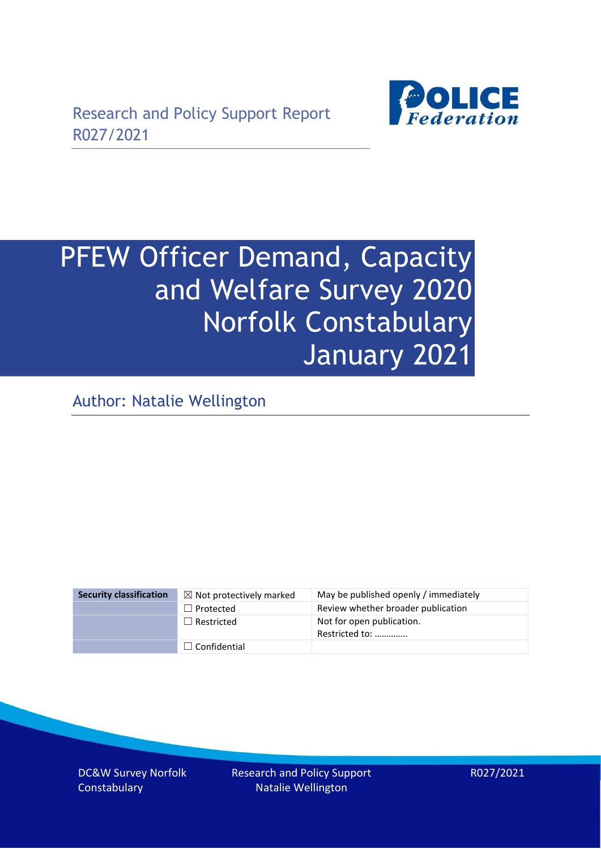

# PFEW Officer Demand, Capacity and Welfare Survey 2020 Norfolk Constabulary January 2021

Author: Natalie Wellington

| <b>Security classification</b> | $\boxtimes$ Not protectively marked | May be published openly / immediately       |
|--------------------------------|-------------------------------------|---------------------------------------------|
|                                | $\Box$ Protected                    | Review whether broader publication          |
|                                | $\Box$ Restricted                   | Not for open publication.<br>Restricted to: |
|                                | $\Box$ Confidential                 |                                             |

DC&W Survey Norfolk **Constabulary** 

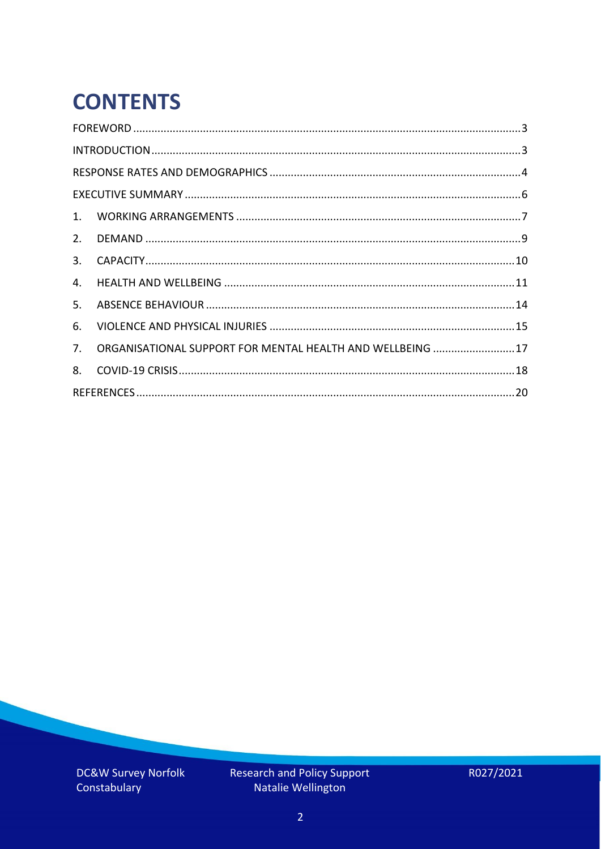# **CONTENTS**

| 2.          |                                                            |  |
|-------------|------------------------------------------------------------|--|
| 3.          |                                                            |  |
| 4.          |                                                            |  |
| 5.          |                                                            |  |
| 6.          |                                                            |  |
| $7_{\cdot}$ | ORGANISATIONAL SUPPORT FOR MENTAL HEALTH AND WELLBEING  17 |  |
| 8.          |                                                            |  |
|             |                                                            |  |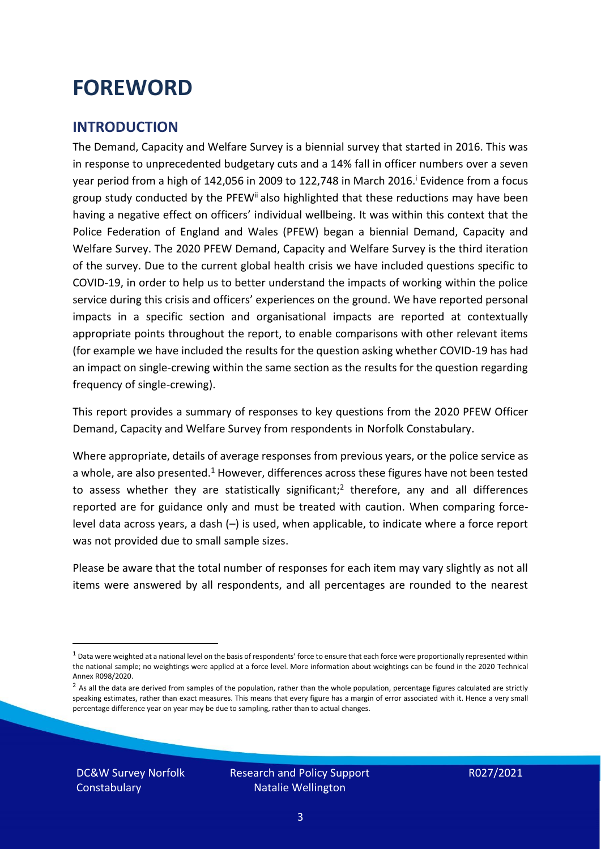### <span id="page-2-0"></span>**FOREWORD**

### <span id="page-2-1"></span>**INTRODUCTION**

The Demand, Capacity and Welfare Survey is a biennial survey that started in 2016. This was in response to unprecedented budgetary cuts and a 14% fall in officer numbers over a seven year period from a high of 142,056 in 2009 to 122,748 in March 2016. <sup>i</sup> Evidence from a focus group study conducted by the PFEW<sup>ii</sup> also highlighted that these reductions may have been having a negative effect on officers' individual wellbeing. It was within this context that the Police Federation of England and Wales (PFEW) began a biennial Demand, Capacity and Welfare Survey. The 2020 PFEW Demand, Capacity and Welfare Survey is the third iteration of the survey. Due to the current global health crisis we have included questions specific to COVID-19, in order to help us to better understand the impacts of working within the police service during this crisis and officers' experiences on the ground. We have reported personal impacts in a specific section and organisational impacts are reported at contextually appropriate points throughout the report, to enable comparisons with other relevant items (for example we have included the results for the question asking whether COVID-19 has had an impact on single-crewing within the same section as the results for the question regarding frequency of single-crewing).

This report provides a summary of responses to key questions from the 2020 PFEW Officer Demand, Capacity and Welfare Survey from respondents in Norfolk Constabulary.

Where appropriate, details of average responses from previous years, or the police service as a whole, are also presented.<sup>1</sup> However, differences across these figures have not been tested to assess whether they are statistically significant;<sup>2</sup> therefore, any and all differences reported are for guidance only and must be treated with caution. When comparing forcelevel data across years, a dash (–) is used, when applicable, to indicate where a force report was not provided due to small sample sizes.

Please be aware that the total number of responses for each item may vary slightly as not all items were answered by all respondents, and all percentages are rounded to the nearest

DC&W Survey Norfolk **Constabulary** 

 $1$  Data were weighted at a national level on the basis of respondents' force to ensure that each force were proportionally represented within the national sample; no weightings were applied at a force level. More information about weightings can be found in the 2020 Technical Annex R098/2020.

 $2$  As all the data are derived from samples of the population, rather than the whole population, percentage figures calculated are strictly speaking estimates, rather than exact measures. This means that every figure has a margin of error associated with it. Hence a very small percentage difference year on year may be due to sampling, rather than to actual changes.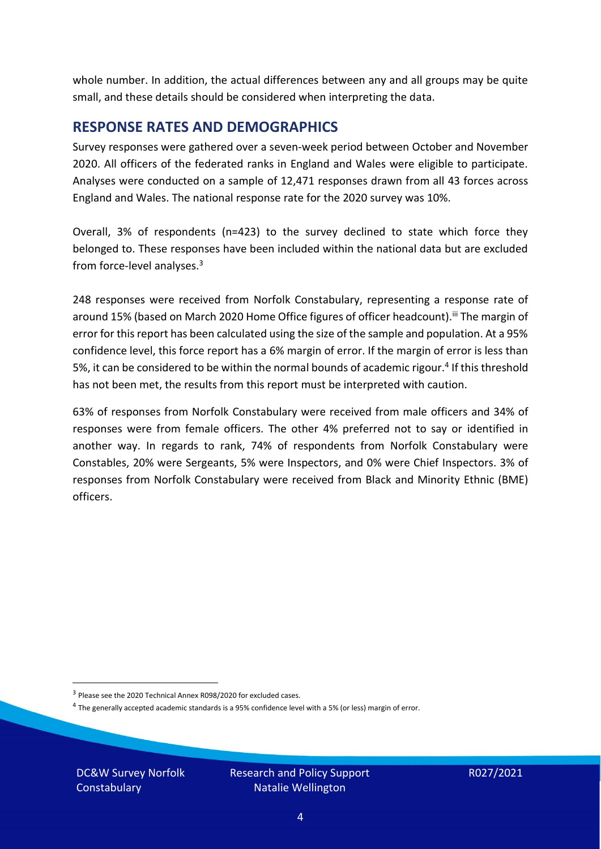whole number. In addition, the actual differences between any and all groups may be quite small, and these details should be considered when interpreting the data.

#### <span id="page-3-0"></span>**RESPONSE RATES AND DEMOGRAPHICS**

Survey responses were gathered over a seven-week period between October and November 2020. All officers of the federated ranks in England and Wales were eligible to participate. Analyses were conducted on a sample of 12,471 responses drawn from all 43 forces across England and Wales. The national response rate for the 2020 survey was 10%.

Overall, 3% of respondents (n=423) to the survey declined to state which force they belonged to. These responses have been included within the national data but are excluded from force-level analyses.<sup>3</sup>

248 responses were received from Norfolk Constabulary, representing a response rate of around 15% (based on March 2020 Home Office figures of officer headcount).<sup>iii</sup> The margin of error for this report has been calculated using the size of the sample and population. At a 95% confidence level, this force report has a 6% margin of error. If the margin of error is less than 5%, it can be considered to be within the normal bounds of academic rigour.<sup>4</sup> If this threshold has not been met, the results from this report must be interpreted with caution.

63% of responses from Norfolk Constabulary were received from male officers and 34% of responses were from female officers. The other 4% preferred not to say or identified in another way. In regards to rank, 74% of respondents from Norfolk Constabulary were Constables, 20% were Sergeants, 5% were Inspectors, and 0% were Chief Inspectors. 3% of responses from Norfolk Constabulary were received from Black and Minority Ethnic (BME) officers.

DC&W Survey Norfolk **Constabulary** 

<sup>&</sup>lt;sup>3</sup> Please see the 2020 Technical Annex R098/2020 for excluded cases.

<sup>&</sup>lt;sup>4</sup> The generally accepted academic standards is a 95% confidence level with a 5% (or less) margin of error.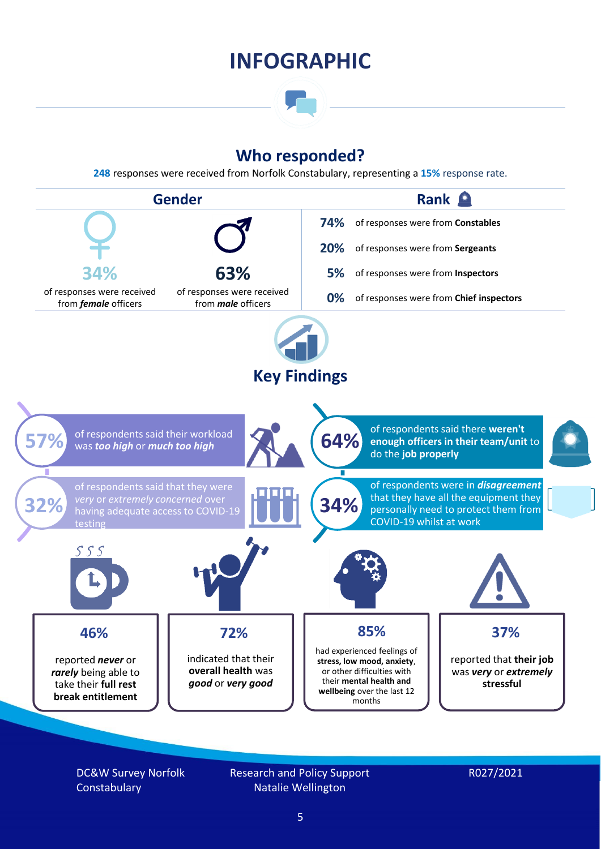### **INFOGRAPHIC**

### **Who responded?**

**248** responses were received from Norfolk Constabulary, representing a **15%** response rate.



DC&W Survey Norfolk **Constabulary** 

Research and Policy Support Natalie Wellington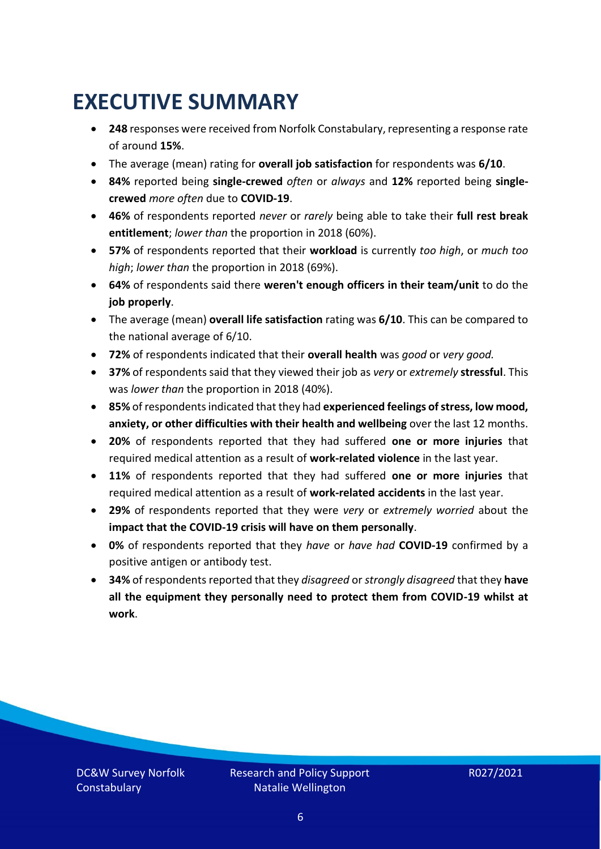### <span id="page-5-0"></span>**EXECUTIVE SUMMARY**

- **248** responses were received from Norfolk Constabulary, representing a response rate of around **15%**.
- The average (mean) rating for **overall job satisfaction** for respondents was **6/10**.
- **84%** reported being **single-crewed** *often* or *always* and **12%** reported being **singlecrewed** *more often* due to **COVID-19**.
- **46%** of respondents reported *never* or *rarely* being able to take their **full rest break entitlement**; *lower than* the proportion in 2018 (60%).
- **57%** of respondents reported that their **workload** is currently *too high*, or *much too high*; *lower than* the proportion in 2018 (69%).
- **64%** of respondents said there **weren't enough officers in their team/unit** to do the **job properly**.
- The average (mean) **overall life satisfaction** rating was **6/10**. This can be compared to the national average of 6/10.
- **72%** of respondents indicated that their **overall health** was *good* or *very good.*
- **37%** of respondents said that they viewed their job as *very* or *extremely* **stressful**. This was *lower than* the proportion in 2018 (40%).
- **85%** of respondents indicated that they had **experienced feelings of stress, low mood, anxiety, or other difficulties with their health and wellbeing** over the last 12 months.
- **20%** of respondents reported that they had suffered **one or more injuries** that required medical attention as a result of **work-related violence** in the last year.
- **11%** of respondents reported that they had suffered **one or more injuries** that required medical attention as a result of **work-related accidents** in the last year.
- **29%** of respondents reported that they were *very* or *extremely worried* about the **impact that the COVID-19 crisis will have on them personally**.
- **0%** of respondents reported that they *have* or *have had* **COVID-19** confirmed by a positive antigen or antibody test.
- **34%** of respondents reported that they *disagreed* or *strongly disagreed* that they **have all the equipment they personally need to protect them from COVID-19 whilst at work**.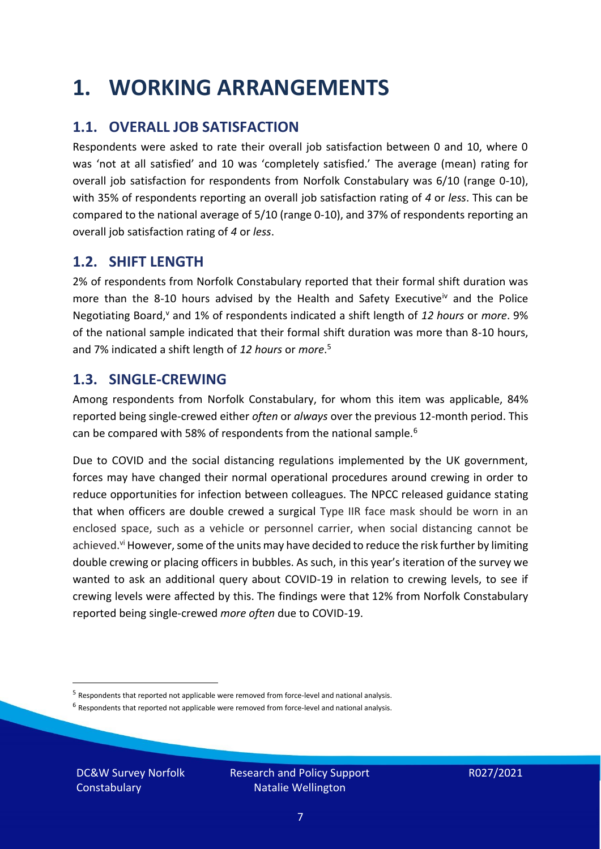### <span id="page-6-0"></span>**1. WORKING ARRANGEMENTS**

### **1.1. OVERALL JOB SATISFACTION**

Respondents were asked to rate their overall job satisfaction between 0 and 10, where 0 was 'not at all satisfied' and 10 was 'completely satisfied.' The average (mean) rating for overall job satisfaction for respondents from Norfolk Constabulary was 6/10 (range 0-10), with 35% of respondents reporting an overall job satisfaction rating of *4* or *less*. This can be compared to the national average of 5/10 (range 0-10), and 37% of respondents reporting an overall job satisfaction rating of *4* or *less*.

### **1.2. SHIFT LENGTH**

2% of respondents from Norfolk Constabulary reported that their formal shift duration was more than the 8-10 hours advised by the Health and Safety Executive<sup>iv</sup> and the Police Negotiating Board,<sup>v</sup> and 1% of respondents indicated a shift length of 12 hours or *more*. 9% of the national sample indicated that their formal shift duration was more than 8-10 hours, and 7% indicated a shift length of *12 hours* or *more*. 5

### **1.3. SINGLE-CREWING**

Among respondents from Norfolk Constabulary, for whom this item was applicable, 84% reported being single-crewed either *often* or *always* over the previous 12-month period. This can be compared with 58% of respondents from the national sample.<sup>6</sup>

Due to COVID and the social distancing regulations implemented by the UK government, forces may have changed their normal operational procedures around crewing in order to reduce opportunities for infection between colleagues. The NPCC released guidance stating that when officers are double crewed a surgical Type IIR face mask should be worn in an enclosed space, such as a vehicle or personnel carrier, when social distancing cannot be achieved.<sup>vi</sup> However, some of the units may have decided to reduce the risk further by limiting double crewing or placing officers in bubbles. As such, in this year's iteration of the survey we wanted to ask an additional query about COVID-19 in relation to crewing levels, to see if crewing levels were affected by this. The findings were that 12% from Norfolk Constabulary reported being single-crewed *more often* due to COVID-19.

 $<sup>6</sup>$  Respondents that reported not applicable were removed from force-level and national analysis.</sup>

DC&W Survey Norfolk **Constabulary** 

<sup>&</sup>lt;sup>5</sup> Respondents that reported not applicable were removed from force-level and national analysis.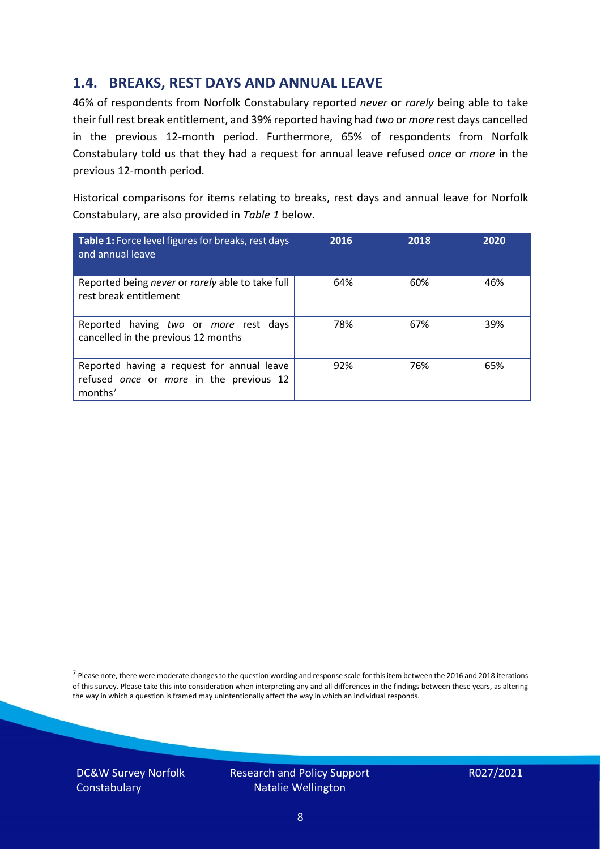### **1.4. BREAKS, REST DAYS AND ANNUAL LEAVE**

46% of respondents from Norfolk Constabulary reported *never* or *rarely* being able to take their full rest break entitlement, and 39% reported having had *two* or *more* rest days cancelled in the previous 12-month period. Furthermore, 65% of respondents from Norfolk Constabulary told us that they had a request for annual leave refused *once* or *more* in the previous 12-month period.

Historical comparisons for items relating to breaks, rest days and annual leave for Norfolk Constabulary, are also provided in *Table 1* below.

| Table 1: Force level figures for breaks, rest days<br>and annual leave                                       | 2016 | 2018 | 2020 |
|--------------------------------------------------------------------------------------------------------------|------|------|------|
| Reported being never or rarely able to take full<br>rest break entitlement                                   | 64%  | 60%  | 46%  |
| Reported having two or more rest days<br>cancelled in the previous 12 months                                 | 78%  | 67%  | 39%  |
| Reported having a request for annual leave<br>refused once or more in the previous 12<br>months <sup>7</sup> | 92%  | 76%  | 65%  |

DC&W Survey Norfolk **Constabulary** 



<sup>&</sup>lt;sup>7</sup> Please note, there were moderate changes to the question wording and response scale for this item between the 2016 and 2018 iterations of this survey. Please take this into consideration when interpreting any and all differences in the findings between these years, as altering the way in which a question is framed may unintentionally affect the way in which an individual responds.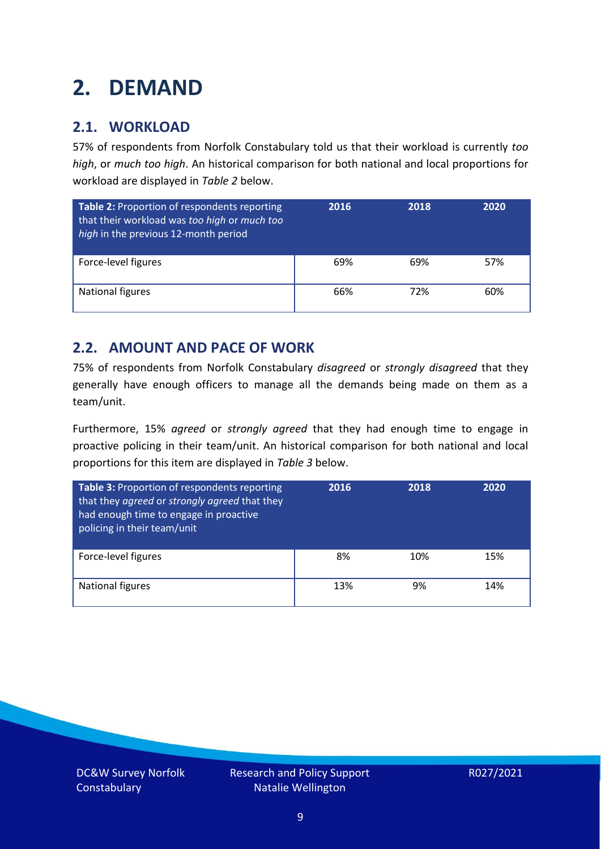### <span id="page-8-0"></span>**2. DEMAND**

### **2.1. WORKLOAD**

57% of respondents from Norfolk Constabulary told us that their workload is currently *too high*, or *much too high*. An historical comparison for both national and local proportions for workload are displayed in *Table 2* below.

| Table 2: Proportion of respondents reporting<br>that their workload was too high or much too<br>high in the previous 12-month period | 2016 | 2018 | 2020 |
|--------------------------------------------------------------------------------------------------------------------------------------|------|------|------|
| Force-level figures                                                                                                                  | 69%  | 69%  | 57%  |
| National figures                                                                                                                     | 66%  | 72%  | 60%  |

### **2.2. AMOUNT AND PACE OF WORK**

75% of respondents from Norfolk Constabulary *disagreed* or *strongly disagreed* that they generally have enough officers to manage all the demands being made on them as a team/unit.

Furthermore, 15% *agreed* or *strongly agreed* that they had enough time to engage in proactive policing in their team/unit. An historical comparison for both national and local proportions for this item are displayed in *Table 3* below.

| Table 3: Proportion of respondents reporting<br>that they agreed or strongly agreed that they<br>had enough time to engage in proactive<br>policing in their team/unit | 2016 | 2018 | 2020 |
|------------------------------------------------------------------------------------------------------------------------------------------------------------------------|------|------|------|
| Force-level figures                                                                                                                                                    | 8%   | 10%  | 15%  |
| National figures                                                                                                                                                       | 13%  | 9%   | 14%  |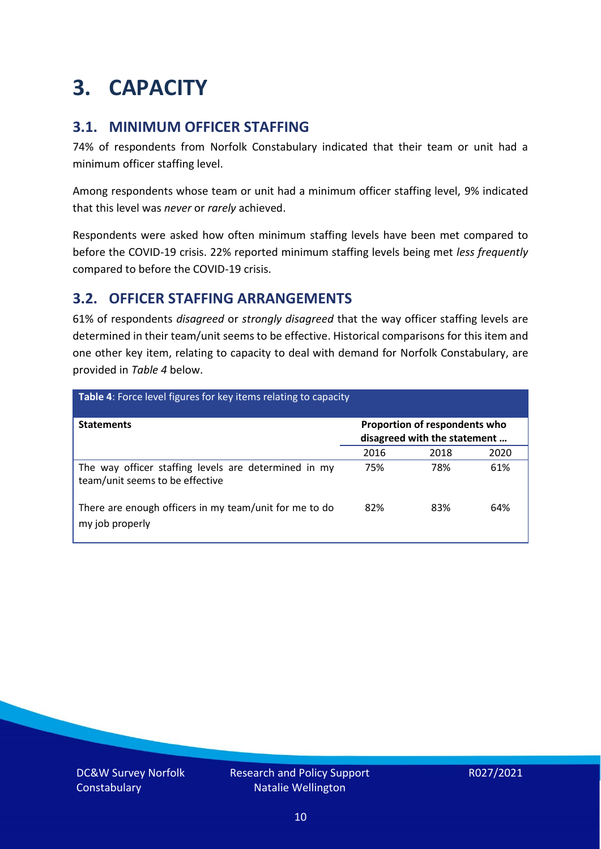### <span id="page-9-0"></span>**3. CAPACITY**

### **3.1. MINIMUM OFFICER STAFFING**

74% of respondents from Norfolk Constabulary indicated that their team or unit had a minimum officer staffing level.

Among respondents whose team or unit had a minimum officer staffing level, 9% indicated that this level was *never* or *rarely* achieved.

Respondents were asked how often minimum staffing levels have been met compared to before the COVID-19 crisis. 22% reported minimum staffing levels being met *less frequently* compared to before the COVID-19 crisis.

### **3.2. OFFICER STAFFING ARRANGEMENTS**

61% of respondents *disagreed* or *strongly disagreed* that the way officer staffing levels are determined in their team/unit seems to be effective. Historical comparisons for this item and one other key item, relating to capacity to deal with demand for Norfolk Constabulary, are provided in *Table 4* below.

| <b>Table 4:</b> Force level figures for key items relating to capacity                  |                                                               |      |      |  |
|-----------------------------------------------------------------------------------------|---------------------------------------------------------------|------|------|--|
| <b>Statements</b>                                                                       | Proportion of respondents who<br>disagreed with the statement |      |      |  |
|                                                                                         | 2016                                                          | 2018 | 2020 |  |
| The way officer staffing levels are determined in my<br>team/unit seems to be effective | 75%                                                           | 78%  | 61%  |  |
| There are enough officers in my team/unit for me to do<br>my job properly               | 82%                                                           | 83%  | 64%  |  |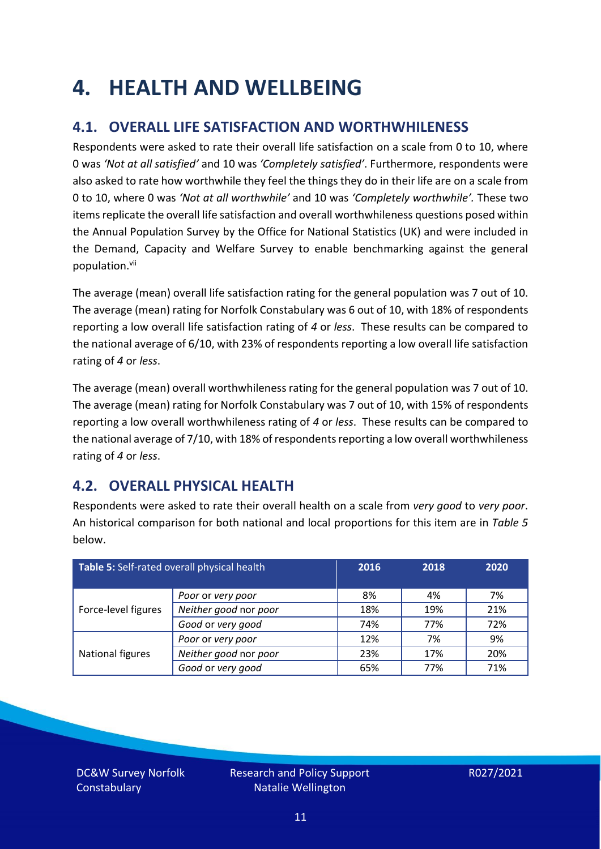### <span id="page-10-0"></span>**4. HEALTH AND WELLBEING**

### **4.1. OVERALL LIFE SATISFACTION AND WORTHWHILENESS**

Respondents were asked to rate their overall life satisfaction on a scale from 0 to 10, where 0 was *'Not at all satisfied'* and 10 was *'Completely satisfied'*. Furthermore, respondents were also asked to rate how worthwhile they feel the things they do in their life are on a scale from 0 to 10, where 0 was *'Not at all worthwhile'* and 10 was *'Completely worthwhile'.* These two items replicate the overall life satisfaction and overall worthwhileness questions posed within the Annual Population Survey by the Office for National Statistics (UK) and were included in the Demand, Capacity and Welfare Survey to enable benchmarking against the general population. vii

The average (mean) overall life satisfaction rating for the general population was 7 out of 10. The average (mean) rating for Norfolk Constabulary was 6 out of 10, with 18% of respondents reporting a low overall life satisfaction rating of *4* or *less*. These results can be compared to the national average of 6/10, with 23% of respondents reporting a low overall life satisfaction rating of *4* or *less*.

The average (mean) overall worthwhileness rating for the general population was 7 out of 10. The average (mean) rating for Norfolk Constabulary was 7 out of 10, with 15% of respondents reporting a low overall worthwhileness rating of *4* or *less*. These results can be compared to the national average of 7/10, with 18% of respondents reporting a low overall worthwhileness rating of *4* or *less*.

### **4.2. OVERALL PHYSICAL HEALTH**

Respondents were asked to rate their overall health on a scale from *very good* to *very poor*. An historical comparison for both national and local proportions for this item are in *Table 5* below.

| Table 5: Self-rated overall physical health |                       | 2016 | 2018 | 2020 |
|---------------------------------------------|-----------------------|------|------|------|
|                                             | Poor or very poor     | 8%   | 4%   | 7%   |
| Force-level figures                         | Neither good nor poor | 18%  | 19%  | 21%  |
|                                             | Good or very good     | 74%  | 77%  | 72%  |
|                                             | Poor or very poor     | 12%  | 7%   | 9%   |
| National figures                            | Neither good nor poor | 23%  | 17%  | 20%  |
|                                             | Good or very good     | 65%  | 77%  | 71%  |

DC&W Survey Norfolk **Constabulary**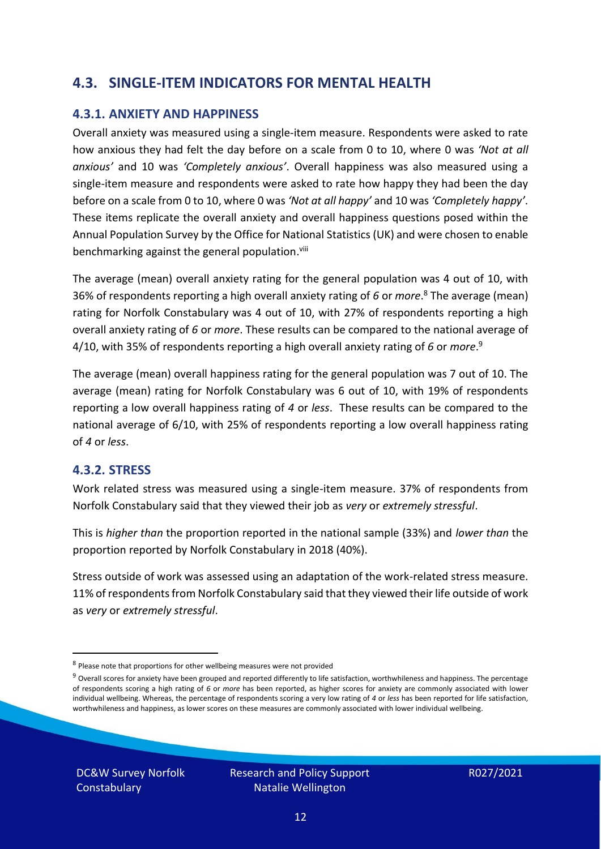### **4.3. SINGLE-ITEM INDICATORS FOR MENTAL HEALTH**

#### **4.3.1. ANXIETY AND HAPPINESS**

Overall anxiety was measured using a single-item measure. Respondents were asked to rate how anxious they had felt the day before on a scale from 0 to 10, where 0 was *'Not at all anxious'* and 10 was *'Completely anxious'*. Overall happiness was also measured using a single-item measure and respondents were asked to rate how happy they had been the day before on a scale from 0 to 10, where 0 was *'Not at all happy'* and 10 was *'Completely happy'*. These items replicate the overall anxiety and overall happiness questions posed within the Annual Population Survey by the Office for National Statistics (UK) and were chosen to enable benchmarking against the general population.<sup>viii</sup>

The average (mean) overall anxiety rating for the general population was 4 out of 10, with 36% of respondents reporting a high overall anxiety rating of *6* or *more*. <sup>8</sup> The average (mean) rating for Norfolk Constabulary was 4 out of 10, with 27% of respondents reporting a high overall anxiety rating of *6* or *more*. These results can be compared to the national average of 4/10, with 35% of respondents reporting a high overall anxiety rating of *6* or *more*. 9

The average (mean) overall happiness rating for the general population was 7 out of 10. The average (mean) rating for Norfolk Constabulary was 6 out of 10, with 19% of respondents reporting a low overall happiness rating of *4* or *less*. These results can be compared to the national average of 6/10, with 25% of respondents reporting a low overall happiness rating of *4* or *less*.

#### **4.3.2. STRESS**

Work related stress was measured using a single-item measure. 37% of respondents from Norfolk Constabulary said that they viewed their job as *very* or *extremely stressful*.

This is *higher than* the proportion reported in the national sample (33%) and *lower than* the proportion reported by Norfolk Constabulary in 2018 (40%).

Stress outside of work was assessed using an adaptation of the work-related stress measure. 11% of respondents from Norfolk Constabulary said that they viewed their life outside of work as *very* or *extremely stressful*.

DC&W Survey Norfolk **Constabulary** 



<sup>&</sup>lt;sup>8</sup> Please note that proportions for other wellbeing measures were not provided

 $9$  Overall scores for anxiety have been grouped and reported differently to life satisfaction, worthwhileness and happiness. The percentage of respondents scoring a high rating of *6* or *more* has been reported, as higher scores for anxiety are commonly associated with lower individual wellbeing. Whereas, the percentage of respondents scoring a very low rating of *4* or *less* has been reported for life satisfaction, worthwhileness and happiness, as lower scores on these measures are commonly associated with lower individual wellbeing.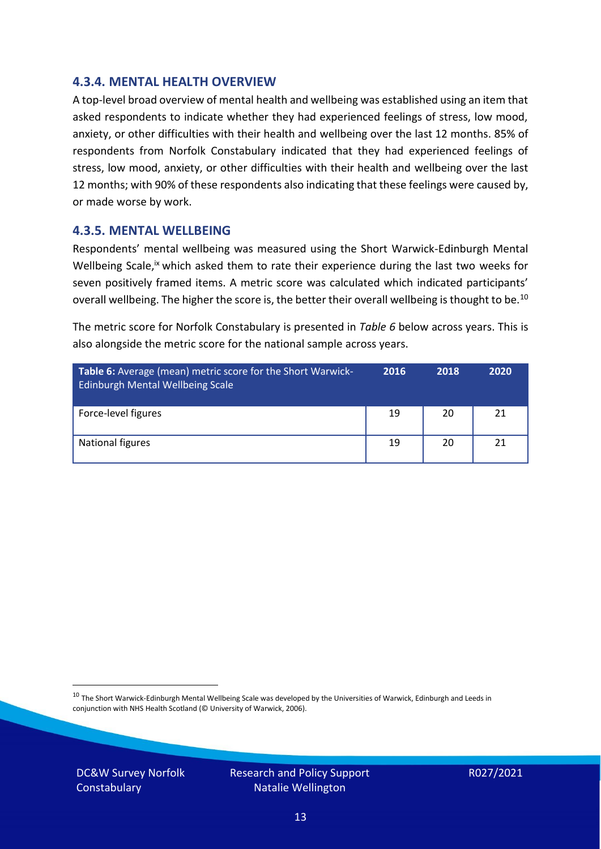#### **4.3.4. MENTAL HEALTH OVERVIEW**

A top-level broad overview of mental health and wellbeing was established using an item that asked respondents to indicate whether they had experienced feelings of stress, low mood, anxiety, or other difficulties with their health and wellbeing over the last 12 months. 85% of respondents from Norfolk Constabulary indicated that they had experienced feelings of stress, low mood, anxiety, or other difficulties with their health and wellbeing over the last 12 months; with 90% of these respondents also indicating that these feelings were caused by, or made worse by work.

#### **4.3.5. MENTAL WELLBEING**

Respondents' mental wellbeing was measured using the Short Warwick-Edinburgh Mental Wellbeing Scale,<sup>ix</sup> which asked them to rate their experience during the last two weeks for seven positively framed items. A metric score was calculated which indicated participants' overall wellbeing. The higher the score is, the better their overall wellbeing is thought to be.<sup>10</sup>

The metric score for Norfolk Constabulary is presented in *Table 6* below across years. This is also alongside the metric score for the national sample across years.

| <b>Table 6:</b> Average (mean) metric score for the Short Warwick-<br>Edinburgh Mental Wellbeing Scale | 2016 | 2018 | 2020 |
|--------------------------------------------------------------------------------------------------------|------|------|------|
| Force-level figures                                                                                    | 19   | 20   | 21   |
| National figures                                                                                       | 19   | 20   | 21   |

 $10$  The Short Warwick-Edinburgh Mental Wellbeing Scale was developed by the Universities of Warwick, Edinburgh and Leeds in conjunction with NHS Health Scotland (© University of Warwick, 2006).

DC&W Survey Norfolk **Constabulary** 

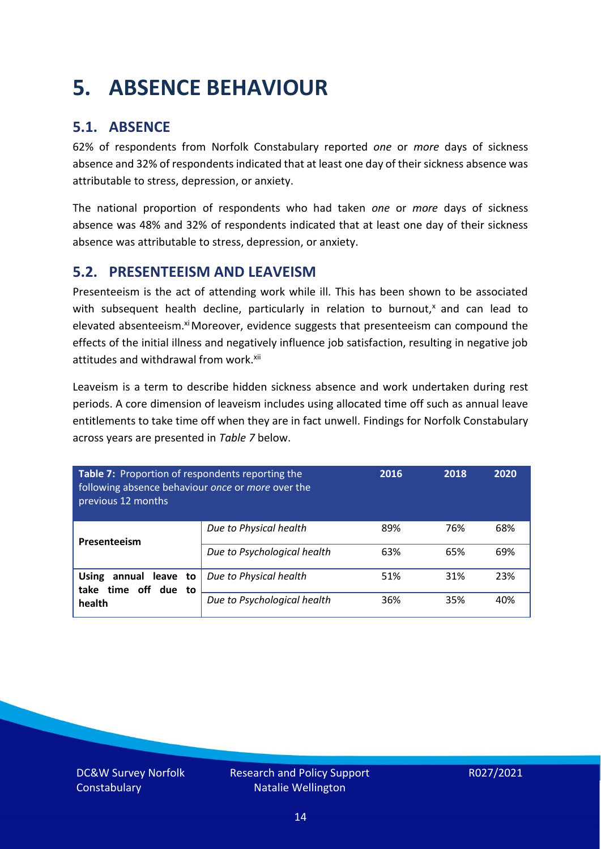### <span id="page-13-0"></span>**5. ABSENCE BEHAVIOUR**

### **5.1. ABSENCE**

62% of respondents from Norfolk Constabulary reported *one* or *more* days of sickness absence and 32% of respondents indicated that at least one day of their sickness absence was attributable to stress, depression, or anxiety.

The national proportion of respondents who had taken *one* or *more* days of sickness absence was 48% and 32% of respondents indicated that at least one day of their sickness absence was attributable to stress, depression, or anxiety.

### **5.2. PRESENTEEISM AND LEAVEISM**

Presenteeism is the act of attending work while ill. This has been shown to be associated with subsequent health decline, particularly in relation to burnout, $x$  and can lead to elevated absenteeism.<sup>xi</sup> Moreover, evidence suggests that presenteeism can compound the effects of the initial illness and negatively influence job satisfaction, resulting in negative job attitudes and withdrawal from work.<sup>xii</sup>

Leaveism is a term to describe hidden sickness absence and work undertaken during rest periods. A core dimension of leaveism includes using allocated time off such as annual leave entitlements to take time off when they are in fact unwell. Findings for Norfolk Constabulary across years are presented in *Table 7* below.

| Table 7: Proportion of respondents reporting the<br>following absence behaviour once or more over the<br>previous 12 months |                             | 2016 | 2018 | 2020 |
|-----------------------------------------------------------------------------------------------------------------------------|-----------------------------|------|------|------|
| Presenteeism                                                                                                                | Due to Physical health      | 89%  | 76%  | 68%  |
|                                                                                                                             | Due to Psychological health | 63%  | 65%  | 69%  |
| annual leave to<br><b>Using</b><br>time off due to<br>take                                                                  | Due to Physical health      | 51%  | 31%  | 23%  |
| health                                                                                                                      | Due to Psychological health | 36%  | 35%  | 40%  |

DC&W Survey Norfolk **Constabulary**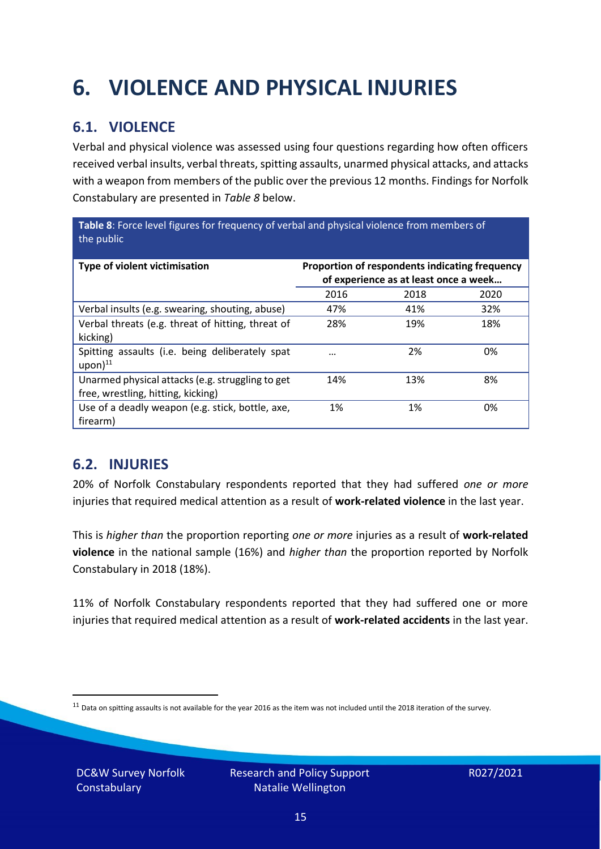## <span id="page-14-0"></span>**6. VIOLENCE AND PHYSICAL INJURIES**

### **6.1. VIOLENCE**

Verbal and physical violence was assessed using four questions regarding how often officers received verbal insults, verbal threats, spitting assaults, unarmed physical attacks, and attacks with a weapon from members of the public over the previous 12 months. Findings for Norfolk Constabulary are presented in *Table 8* below.

**Table 8**: Force level figures for frequency of verbal and physical violence from members of the public

| Type of violent victimisation                                                          | Proportion of respondents indicating frequency<br>of experience as at least once a week |      |      |
|----------------------------------------------------------------------------------------|-----------------------------------------------------------------------------------------|------|------|
|                                                                                        | 2016                                                                                    | 2018 | 2020 |
| Verbal insults (e.g. swearing, shouting, abuse)                                        | 47%                                                                                     | 41%  | 32%  |
| Verbal threats (e.g. threat of hitting, threat of<br>kicking)                          | 28%                                                                                     | 19%  | 18%  |
| Spitting assaults (i.e. being deliberately spat<br>$upon)$ <sup>11</sup>               |                                                                                         | 2%   | 0%   |
| Unarmed physical attacks (e.g. struggling to get<br>free, wrestling, hitting, kicking) | 14%                                                                                     | 13%  | 8%   |
| Use of a deadly weapon (e.g. stick, bottle, axe,<br>firearm)                           | 1%                                                                                      | 1%   | 0%   |

### **6.2. INJURIES**

20% of Norfolk Constabulary respondents reported that they had suffered *one or more* injuries that required medical attention as a result of **work-related violence** in the last year.

This is *higher than* the proportion reporting *one or more* injuries as a result of **work-related violence** in the national sample (16%) and *higher than* the proportion reported by Norfolk Constabulary in 2018 (18%).

11% of Norfolk Constabulary respondents reported that they had suffered one or more injuries that required medical attention as a result of **work-related accidents** in the last year.

DC&W Survey Norfolk **Constabulary** 

 $11$  Data on spitting assaults is not available for the year 2016 as the item was not included until the 2018 iteration of the survey.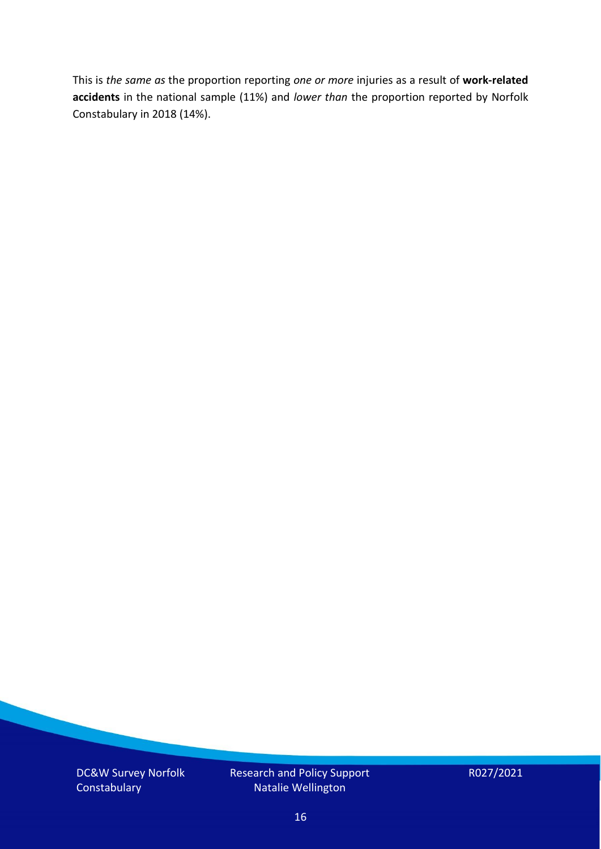This is *the same as* the proportion reporting *one or more* injuries as a result of **work-related accidents** in the national sample (11%) and *lower than* the proportion reported by Norfolk Constabulary in 2018 (14%).

DC&W Survey Norfolk **Constabulary** 

Research and Policy Support Natalie Wellington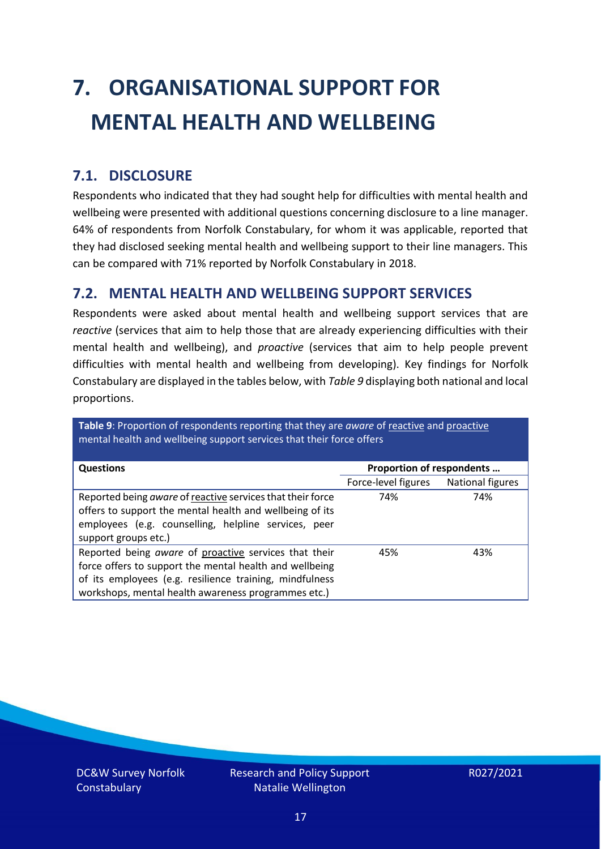# <span id="page-16-0"></span>**7. ORGANISATIONAL SUPPORT FOR MENTAL HEALTH AND WELLBEING**

### **7.1. DISCLOSURE**

Respondents who indicated that they had sought help for difficulties with mental health and wellbeing were presented with additional questions concerning disclosure to a line manager. 64% of respondents from Norfolk Constabulary, for whom it was applicable, reported that they had disclosed seeking mental health and wellbeing support to their line managers. This can be compared with 71% reported by Norfolk Constabulary in 2018.

### **7.2. MENTAL HEALTH AND WELLBEING SUPPORT SERVICES**

Respondents were asked about mental health and wellbeing support services that are *reactive* (services that aim to help those that are already experiencing difficulties with their mental health and wellbeing), and *proactive* (services that aim to help people prevent difficulties with mental health and wellbeing from developing). Key findings for Norfolk Constabulary are displayed in the tables below, with *Table 9* displaying both national and local proportions.

**Table 9**: Proportion of respondents reporting that they are *aware* of reactive and proactive mental health and wellbeing support services that their force offers

| <b>Questions</b>                                                                                                                                                                                                                   | Proportion of respondents |                  |
|------------------------------------------------------------------------------------------------------------------------------------------------------------------------------------------------------------------------------------|---------------------------|------------------|
|                                                                                                                                                                                                                                    | Force-level figures       | National figures |
| Reported being aware of reactive services that their force<br>offers to support the mental health and wellbeing of its<br>employees (e.g. counselling, helpline services, peer<br>support groups etc.)                             | 74%                       | 74%              |
| Reported being aware of proactive services that their<br>force offers to support the mental health and wellbeing<br>of its employees (e.g. resilience training, mindfulness<br>workshops, mental health awareness programmes etc.) | 45%                       | 43%              |

DC&W Survey Norfolk **Constabulary**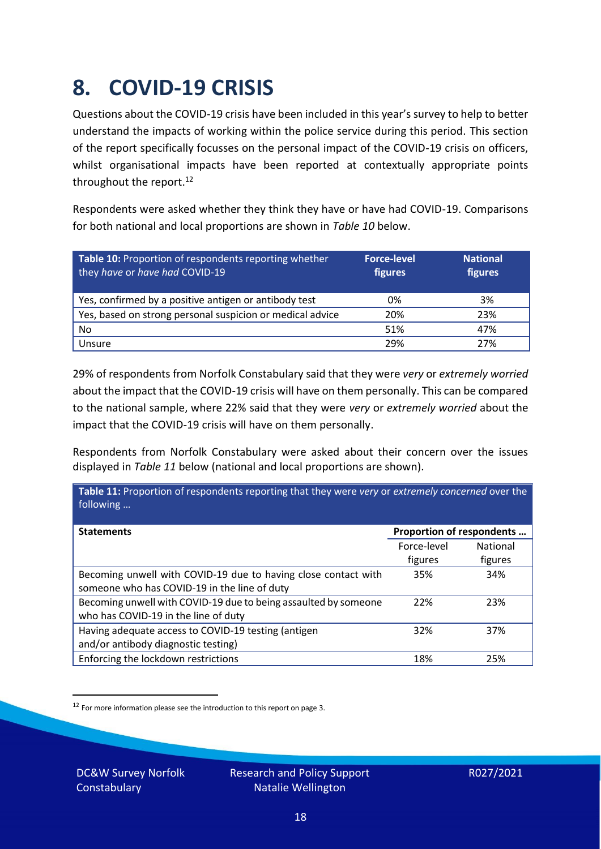### <span id="page-17-0"></span>**8. COVID-19 CRISIS**

Questions about the COVID-19 crisis have been included in this year's survey to help to better understand the impacts of working within the police service during this period. This section of the report specifically focusses on the personal impact of the COVID-19 crisis on officers, whilst organisational impacts have been reported at contextually appropriate points throughout the report.<sup>12</sup>

Respondents were asked whether they think they have or have had COVID-19. Comparisons for both national and local proportions are shown in *Table 10* below.

| Table 10: Proportion of respondents reporting whether<br>they have or have had COVID-19 | <b>Force-level</b><br>figures | <b>National</b><br>figures |
|-----------------------------------------------------------------------------------------|-------------------------------|----------------------------|
| Yes, confirmed by a positive antigen or antibody test                                   | 0%                            | 3%                         |
| Yes, based on strong personal suspicion or medical advice                               | 20%                           | 23%                        |
| No                                                                                      | 51%                           | 47%                        |
| Unsure                                                                                  | 29%                           | 27%                        |

29% of respondents from Norfolk Constabulary said that they were *very* or *extremely worried* about the impact that the COVID-19 crisis will have on them personally. This can be compared to the national sample, where 22% said that they were *very* or *extremely worried* about the impact that the COVID-19 crisis will have on them personally.

Respondents from Norfolk Constabulary were asked about their concern over the issues displayed in *Table 11* below (national and local proportions are shown).

| Table 11: Proportion of respondents reporting that they were very or extremely concerned over the<br>following |                           |                            |
|----------------------------------------------------------------------------------------------------------------|---------------------------|----------------------------|
| <b>Statements</b>                                                                                              | Proportion of respondents |                            |
|                                                                                                                | Force-level<br>figures    | <b>National</b><br>figures |
| Becoming unwell with COVID-19 due to having close contact with<br>someone who has COVID-19 in the line of duty | 35%                       | 34%                        |
| Becoming unwell with COVID-19 due to being assaulted by someone<br>who has COVID-19 in the line of duty        | 22%                       | 23%                        |
| Having adequate access to COVID-19 testing (antigen<br>and/or antibody diagnostic testing)                     | 32%                       | 37%                        |
| Enforcing the lockdown restrictions                                                                            | 18%                       | 25%                        |

<sup>12</sup> For more information please see the introduction to this report on page 3.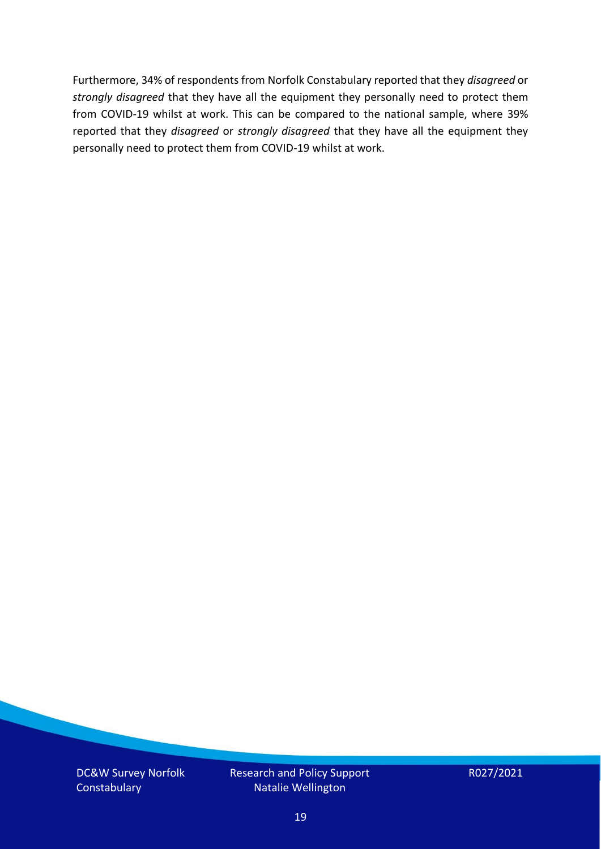Furthermore, 34% of respondents from Norfolk Constabulary reported that they *disagreed* or *strongly disagreed* that they have all the equipment they personally need to protect them from COVID-19 whilst at work. This can be compared to the national sample, where 39% reported that they *disagreed* or *strongly disagreed* that they have all the equipment they personally need to protect them from COVID-19 whilst at work.

DC&W Survey Norfolk **Constabulary** 

Research and Policy Support Natalie Wellington